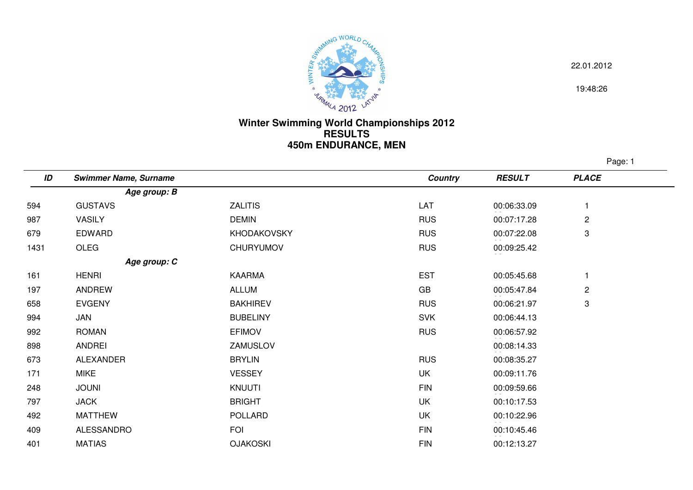

22.01.2012

19:48:26

## **Winter Swimming World Championships 2012 RESULTS450m ENDURANCE, MEN**

Page: 1

| ID   | <b>Swimmer Name, Surname</b> |                  | Country    | <b>RESULT</b> | <b>PLACE</b>              |
|------|------------------------------|------------------|------------|---------------|---------------------------|
|      | Age group: B                 |                  |            |               |                           |
| 594  | <b>GUSTAVS</b>               | <b>ZALITIS</b>   | LAT        | 00:06:33.09   |                           |
| 987  | <b>VASILY</b>                | <b>DEMIN</b>     | <b>RUS</b> | 00:07:17.28   | $\overline{c}$            |
| 679  | EDWARD                       | KHODAKOVSKY      | <b>RUS</b> | 00:07:22.08   | 3                         |
| 1431 | OLEG                         | <b>CHURYUMOV</b> | <b>RUS</b> | 00:09:25.42   |                           |
|      | Age group: C                 |                  |            |               |                           |
| 161  | <b>HENRI</b>                 | <b>KAARMA</b>    | <b>EST</b> | 00:05:45.68   |                           |
| 197  | ANDREW                       | <b>ALLUM</b>     | GB         | 00:05:47.84   | $\overline{c}$            |
| 658  | <b>EVGENY</b>                | <b>BAKHIREV</b>  | <b>RUS</b> | 00:06:21.97   | $\ensuremath{\mathsf{3}}$ |
| 994  | JAN                          | <b>BUBELINY</b>  | <b>SVK</b> | 00:06:44.13   |                           |
| 992  | <b>ROMAN</b>                 | <b>EFIMOV</b>    | <b>RUS</b> | 00:06:57.92   |                           |
| 898  | ANDREI                       | ZAMUSLOV         |            | 00:08:14.33   |                           |
| 673  | <b>ALEXANDER</b>             | <b>BRYLIN</b>    | <b>RUS</b> | 00:08:35.27   |                           |
| 171  | <b>MIKE</b>                  | <b>VESSEY</b>    | UK         | 00:09:11.76   |                           |
| 248  | <b>JOUNI</b>                 | <b>KNUUTI</b>    | <b>FIN</b> | 00:09:59.66   |                           |
| 797  | <b>JACK</b>                  | <b>BRIGHT</b>    | UK         | 00:10:17.53   |                           |
| 492  | <b>MATTHEW</b>               | POLLARD          | <b>UK</b>  | 00:10:22.96   |                           |
| 409  | ALESSANDRO                   | <b>FOI</b>       | <b>FIN</b> | 00:10:45.46   |                           |
| 401  | <b>MATIAS</b>                | <b>OJAKOSKI</b>  | <b>FIN</b> | 00:12:13.27   |                           |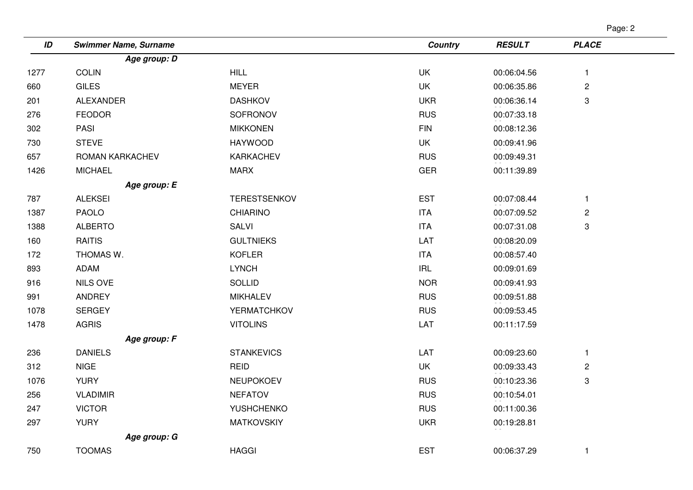| ID   | <b>Swimmer Name, Surname</b> |                     | <b>Country</b> | <b>RESULT</b> | <b>PLACE</b>   |  |
|------|------------------------------|---------------------|----------------|---------------|----------------|--|
|      | Age group: D                 |                     |                |               |                |  |
| 1277 | <b>COLIN</b>                 | <b>HILL</b>         | <b>UK</b>      | 00:06:04.56   | $\mathbf{1}$   |  |
| 660  | <b>GILES</b>                 | <b>MEYER</b>        | UK             | 00:06:35.86   | $\mathbf{2}$   |  |
| 201  | <b>ALEXANDER</b>             | <b>DASHKOV</b>      | <b>UKR</b>     | 00:06:36.14   | 3              |  |
| 276  | <b>FEODOR</b>                | SOFRONOV            | <b>RUS</b>     | 00:07:33.18   |                |  |
| 302  | PASI                         | <b>MIKKONEN</b>     | <b>FIN</b>     | 00:08:12.36   |                |  |
| 730  | <b>STEVE</b>                 | <b>HAYWOOD</b>      | <b>UK</b>      | 00:09:41.96   |                |  |
| 657  | ROMAN KARKACHEV              | <b>KARKACHEV</b>    | <b>RUS</b>     | 00:09:49.31   |                |  |
| 1426 | <b>MICHAEL</b>               | <b>MARX</b>         | <b>GER</b>     | 00:11:39.89   |                |  |
|      | Age group: E                 |                     |                |               |                |  |
| 787  | <b>ALEKSEI</b>               | <b>TERESTSENKOV</b> | <b>EST</b>     | 00:07:08.44   | $\mathbf{1}$   |  |
| 1387 | <b>PAOLO</b>                 | <b>CHIARINO</b>     | <b>ITA</b>     | 00:07:09.52   | $\sqrt{2}$     |  |
| 1388 | <b>ALBERTO</b>               | <b>SALVI</b>        | <b>ITA</b>     | 00:07:31.08   | 3              |  |
| 160  | <b>RAITIS</b>                | <b>GULTNIEKS</b>    | LAT            | 00:08:20.09   |                |  |
| 172  | THOMAS W.                    | <b>KOFLER</b>       | <b>ITA</b>     | 00:08:57.40   |                |  |
| 893  | ADAM                         | <b>LYNCH</b>        | <b>IRL</b>     | 00:09:01.69   |                |  |
| 916  | <b>NILS OVE</b>              | <b>SOLLID</b>       | <b>NOR</b>     | 00:09:41.93   |                |  |
| 991  | ANDREY                       | <b>MIKHALEV</b>     | <b>RUS</b>     | 00:09:51.88   |                |  |
| 1078 | <b>SERGEY</b>                | YERMATCHKOV         | <b>RUS</b>     | 00:09:53.45   |                |  |
| 1478 | <b>AGRIS</b>                 | <b>VITOLINS</b>     | LAT            | 00:11:17.59   |                |  |
|      | Age group: F                 |                     |                |               |                |  |
| 236  | <b>DANIELS</b>               | <b>STANKEVICS</b>   | LAT            | 00:09:23.60   | $\mathbf{1}$   |  |
| 312  | <b>NIGE</b>                  | <b>REID</b>         | UK             | 00:09:33.43   | $\overline{c}$ |  |
| 1076 | <b>YURY</b>                  | NEUPOKOEV           | <b>RUS</b>     | 00:10:23.36   | 3              |  |
| 256  | <b>VLADIMIR</b>              | <b>NEFATOV</b>      | <b>RUS</b>     | 00:10:54.01   |                |  |
| 247  | <b>VICTOR</b>                | YUSHCHENKO          | <b>RUS</b>     | 00:11:00.36   |                |  |
| 297  | <b>YURY</b>                  | <b>MATKOVSKIY</b>   | <b>UKR</b>     | 00:19:28.81   |                |  |
|      | Age group: G                 |                     |                |               |                |  |
| 750  | <b>TOOMAS</b>                | <b>HAGGI</b>        | <b>EST</b>     | 00:06:37.29   | 1              |  |